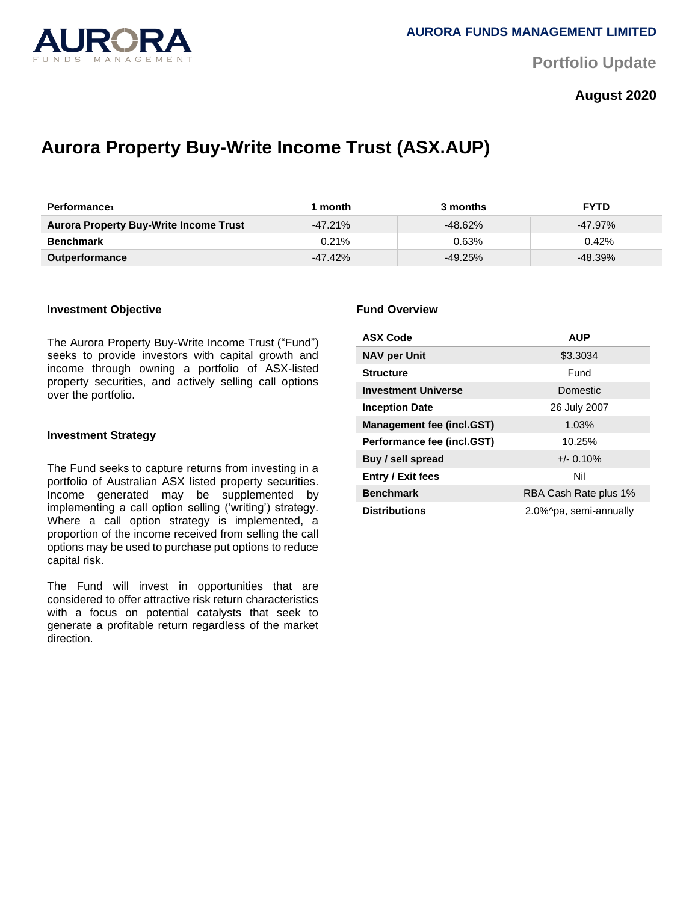

**Portfolio Update** 

## **August 2020**

# **Aurora Property Buy-Write Income Trust (ASX.AUP)**

| <b>Performance</b>                            | month      | 3 months   | <b>FYTD</b> |
|-----------------------------------------------|------------|------------|-------------|
| <b>Aurora Property Buy-Write Income Trust</b> | $-47.21\%$ | $-48.62\%$ | $-47.97\%$  |
| <b>Benchmark</b>                              | $0.21\%$   | 0.63%      | 0.42%       |
| <b>Outperformance</b>                         | $-47.42\%$ | $-49.25\%$ | $-48.39\%$  |

#### I**nvestment Objective**

The Aurora Property Buy-Write Income Trust ("Fund") seeks to provide investors with capital growth and income through owning a portfolio of ASX-listed property securities, and actively selling call options over the portfolio.

#### **Investment Strategy**

The Fund seeks to capture returns from investing in a portfolio of Australian ASX listed property securities. Income generated may be supplemented by implementing a call option selling ('writing') strategy. Where a call option strategy is implemented, a proportion of the income received from selling the call options may be used to purchase put options to reduce capital risk.

The Fund will invest in opportunities that are considered to offer attractive risk return characteristics with a focus on potential catalysts that seek to generate a profitable return regardless of the market direction.

#### **Fund Overview**

| <b>ASX Code</b>                  | <b>AUP</b>             |  |
|----------------------------------|------------------------|--|
| <b>NAV per Unit</b>              | \$3.3034               |  |
| <b>Structure</b>                 | Fund                   |  |
| <b>Investment Universe</b>       | Domestic               |  |
| <b>Inception Date</b>            | 26 July 2007           |  |
| <b>Management fee (incl.GST)</b> | 1.03%                  |  |
| Performance fee (incl.GST)       | 10.25%                 |  |
| Buy / sell spread                | $+/- 0.10%$            |  |
| <b>Entry / Exit fees</b>         | Nil                    |  |
| <b>Benchmark</b>                 | RBA Cash Rate plus 1%  |  |
| <b>Distributions</b>             | 2.0%^pa, semi-annually |  |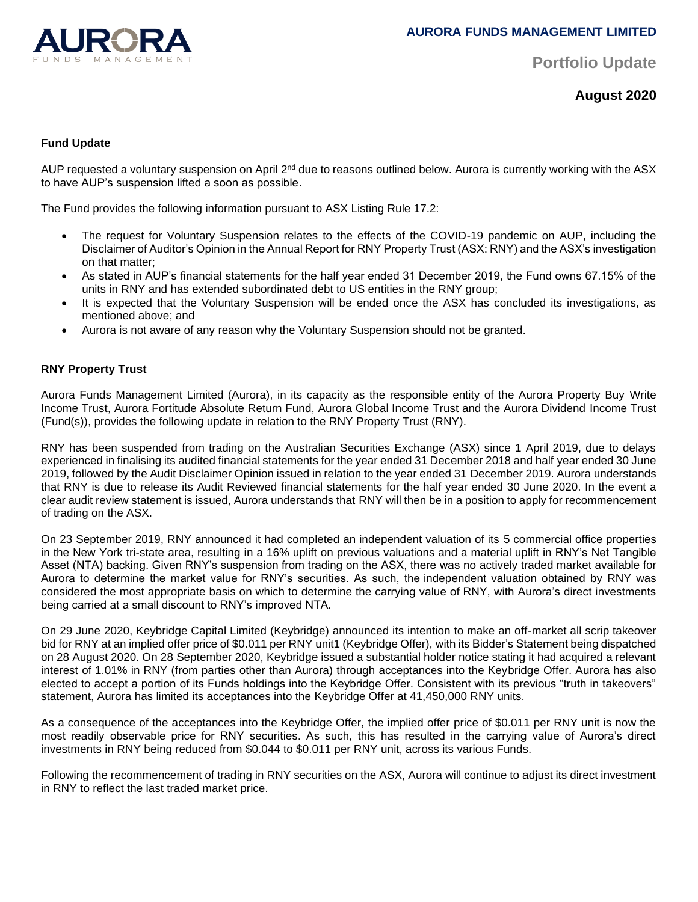

**Portfolio Update** 

**August 2020**

#### **Fund Update**

AUP requested a voluntary suspension on April 2<sup>nd</sup> due to reasons outlined below. Aurora is currently working with the ASX to have AUP's suspension lifted a soon as possible.

The Fund provides the following information pursuant to ASX Listing Rule 17.2:

- The request for Voluntary Suspension relates to the effects of the COVID-19 pandemic on AUP, including the Disclaimer of Auditor's Opinion in the Annual Report for RNY Property Trust (ASX: RNY) and the ASX's investigation on that matter;
- As stated in AUP's financial statements for the half year ended 31 December 2019, the Fund owns 67.15% of the units in RNY and has extended subordinated debt to US entities in the RNY group;
- It is expected that the Voluntary Suspension will be ended once the ASX has concluded its investigations, as mentioned above; and
- Aurora is not aware of any reason why the Voluntary Suspension should not be granted.

### **RNY Property Trust**

Aurora Funds Management Limited (Aurora), in its capacity as the responsible entity of the Aurora Property Buy Write Income Trust, Aurora Fortitude Absolute Return Fund, Aurora Global Income Trust and the Aurora Dividend Income Trust (Fund(s)), provides the following update in relation to the RNY Property Trust (RNY).

RNY has been suspended from trading on the Australian Securities Exchange (ASX) since 1 April 2019, due to delays experienced in finalising its audited financial statements for the year ended 31 December 2018 and half year ended 30 June 2019, followed by the Audit Disclaimer Opinion issued in relation to the year ended 31 December 2019. Aurora understands that RNY is due to release its Audit Reviewed financial statements for the half year ended 30 June 2020. In the event a clear audit review statement is issued, Aurora understands that RNY will then be in a position to apply for recommencement of trading on the ASX.

On 23 September 2019, RNY announced it had completed an independent valuation of its 5 commercial office properties in the New York tri-state area, resulting in a 16% uplift on previous valuations and a material uplift in RNY's Net Tangible Asset (NTA) backing. Given RNY's suspension from trading on the ASX, there was no actively traded market available for Aurora to determine the market value for RNY's securities. As such, the independent valuation obtained by RNY was considered the most appropriate basis on which to determine the carrying value of RNY, with Aurora's direct investments being carried at a small discount to RNY's improved NTA.

On 29 June 2020, Keybridge Capital Limited (Keybridge) announced its intention to make an off-market all scrip takeover bid for RNY at an implied offer price of \$0.011 per RNY unit1 (Keybridge Offer), with its Bidder's Statement being dispatched on 28 August 2020. On 28 September 2020, Keybridge issued a substantial holder notice stating it had acquired a relevant interest of 1.01% in RNY (from parties other than Aurora) through acceptances into the Keybridge Offer. Aurora has also elected to accept a portion of its Funds holdings into the Keybridge Offer. Consistent with its previous "truth in takeovers" statement, Aurora has limited its acceptances into the Keybridge Offer at 41,450,000 RNY units.

As a consequence of the acceptances into the Keybridge Offer, the implied offer price of \$0.011 per RNY unit is now the most readily observable price for RNY securities. As such, this has resulted in the carrying value of Aurora's direct investments in RNY being reduced from \$0.044 to \$0.011 per RNY unit, across its various Funds.

Following the recommencement of trading in RNY securities on the ASX, Aurora will continue to adjust its direct investment in RNY to reflect the last traded market price.